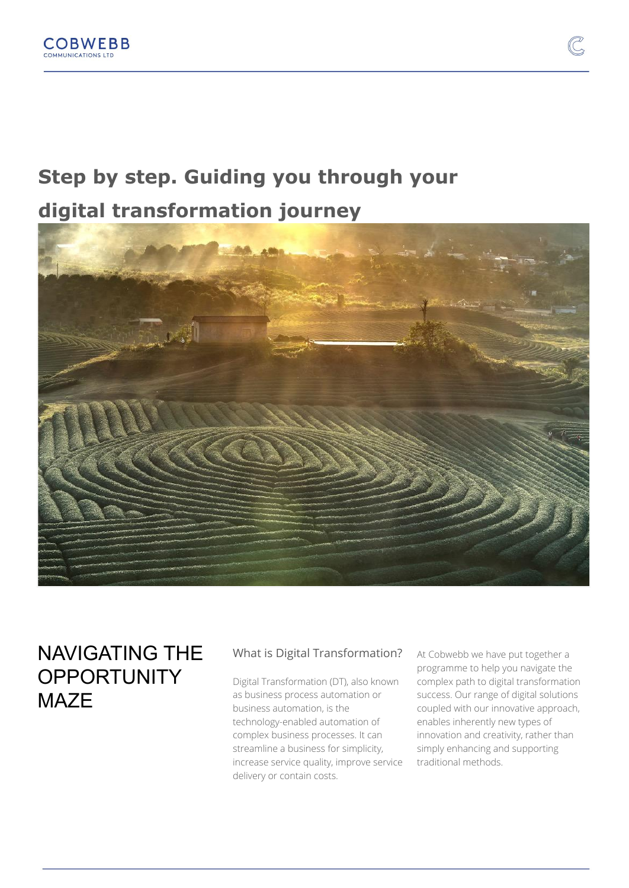# **Step by step. Guiding you through your**

**digital transformation journey**



### NAVIGATING THE **OPPORTUNITY** MA<sub>7</sub>F

### What is Digital Transformation?

Digital Transformation (DT), also known as business process automation or business automation, is the technology-enabled automation of complex business processes. It can streamline a business for simplicity, increase service quality, improve service delivery or contain costs.

At Cobwebb we have put together a programme to help you navigate the complex path to digital transformation success. Our range of digital solutions coupled with our innovative approach, enables inherently new types of innovation and creativity, rather than simply enhancing and supporting traditional methods.